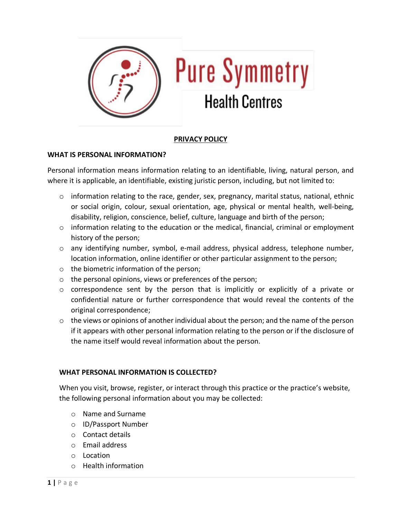

# **PRIVACY POLICY**

### **WHAT IS PERSONAL INFORMATION?**

Personal information means information relating to an identifiable, living, natural person, and where it is applicable, an identifiable, existing juristic person, including, but not limited to:

- $\circ$  information relating to the race, gender, sex, pregnancy, marital status, national, ethnic or social origin, colour, sexual orientation, age, physical or mental health, well-being, disability, religion, conscience, belief, culture, language and birth of the person;
- $\circ$  information relating to the education or the medical, financial, criminal or employment history of the person;
- o any identifying number, symbol, e-mail address, physical address, telephone number, location information, online identifier or other particular assignment to the person;
- o the biometric information of the person;
- o the personal opinions, views or preferences of the person;
- $\circ$  correspondence sent by the person that is implicitly or explicitly of a private or confidential nature or further correspondence that would reveal the contents of the original correspondence;
- o the views or opinions of another individual about the person; and the name of the person if it appears with other personal information relating to the person or if the disclosure of the name itself would reveal information about the person.

### **WHAT PERSONAL INFORMATION IS COLLECTED?**

When you visit, browse, register, or interact through this practice or the practice's website, the following personal information about you may be collected:

- o Name and Surname
- o ID/Passport Number
- o Contact details
- o Email address
- o Location
- o Health information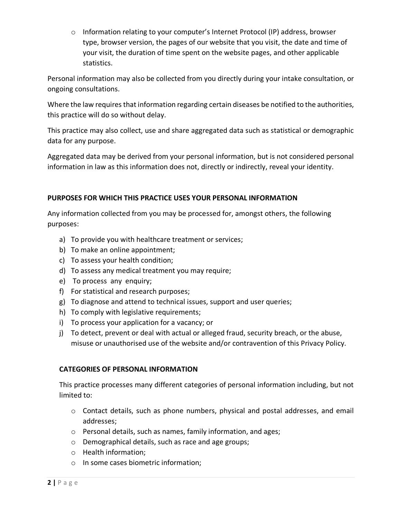o Information relating to your computer's Internet Protocol (IP) address, browser type, browser version, the pages of our website that you visit, the date and time of your visit, the duration of time spent on the website pages, and other applicable statistics.

Personal information may also be collected from you directly during your intake consultation, or ongoing consultations.

Where the law requires that information regarding certain diseases be notified to the authorities, this practice will do so without delay.

This practice may also collect, use and share aggregated data such as statistical or demographic data for any purpose.

Aggregated data may be derived from your personal information, but is not considered personal information in law as this information does not, directly or indirectly, reveal your identity.

## **PURPOSES FOR WHICH THIS PRACTICE USES YOUR PERSONAL INFORMATION**

Any information collected from you may be processed for, amongst others, the following purposes:

- a) To provide you with healthcare treatment or services;
- b) To make an online appointment;
- c) To assess your health condition;
- d) To assess any medical treatment you may require;
- e) To process any enquiry;
- f) For statistical and research purposes;
- g) To diagnose and attend to technical issues, support and user queries;
- h) To comply with legislative requirements;
- i) To process your application for a vacancy; or
- j) To detect, prevent or deal with actual or alleged fraud, security breach, or the abuse, misuse or unauthorised use of the website and/or contravention of this Privacy Policy.

## **CATEGORIES OF PERSONAL INFORMATION**

This practice processes many different categories of personal information including, but not limited to:

- o Contact details, such as phone numbers, physical and postal addresses, and email addresses;
- o Personal details, such as names, family information, and ages;
- o Demographical details, such as race and age groups;
- o Health information;
- o In some cases biometric information;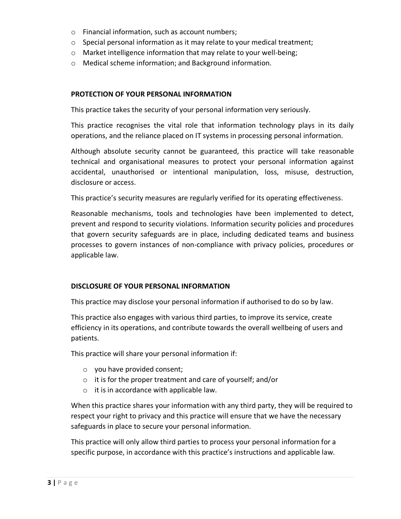- o Financial information, such as account numbers;
- o Special personal information as it may relate to your medical treatment;
- o Market intelligence information that may relate to your well-being;
- o Medical scheme information; and Background information.

### **PROTECTION OF YOUR PERSONAL INFORMATION**

This practice takes the security of your personal information very seriously.

This practice recognises the vital role that information technology plays in its daily operations, and the reliance placed on IT systems in processing personal information.

Although absolute security cannot be guaranteed, this practice will take reasonable technical and organisational measures to protect your personal information against accidental, unauthorised or intentional manipulation, loss, misuse, destruction, disclosure or access.

This practice's security measures are regularly verified for its operating effectiveness.

Reasonable mechanisms, tools and technologies have been implemented to detect, prevent and respond to security violations. Information security policies and procedures that govern security safeguards are in place, including dedicated teams and business processes to govern instances of non-compliance with privacy policies, procedures or applicable law.

### **DISCLOSURE OF YOUR PERSONAL INFORMATION**

This practice may disclose your personal information if authorised to do so by law.

This practice also engages with various third parties, to improve its service, create efficiency in its operations, and contribute towards the overall wellbeing of users and patients.

This practice will share your personal information if:

- o you have provided consent;
- o it is for the proper treatment and care of yourself; and/or
- o it is in accordance with applicable law.

When this practice shares your information with any third party, they will be required to respect your right to privacy and this practice will ensure that we have the necessary safeguards in place to secure your personal information.

This practice will only allow third parties to process your personal information for a specific purpose, in accordance with this practice's instructions and applicable law.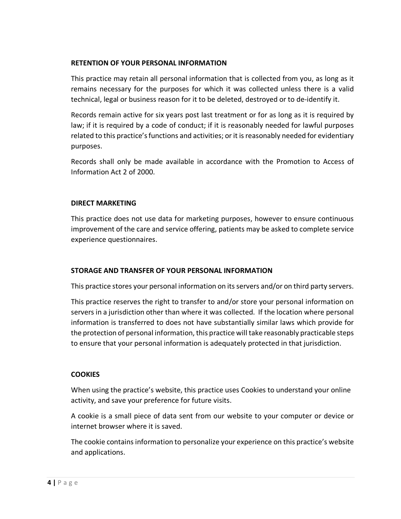### **RETENTION OF YOUR PERSONAL INFORMATION**

This practice may retain all personal information that is collected from you, as long as it remains necessary for the purposes for which it was collected unless there is a valid technical, legal or business reason for it to be deleted, destroyed or to de-identify it.

Records remain active for six years post last treatment or for as long as it is required by law; if it is required by a code of conduct; if it is reasonably needed for lawful purposes related to this practice's functions and activities; or it is reasonably needed for evidentiary purposes.

Records shall only be made available in accordance with the Promotion to Access of Information Act 2 of 2000.

### **DIRECT MARKETING**

This practice does not use data for marketing purposes, however to ensure continuous improvement of the care and service offering, patients may be asked to complete service experience questionnaires.

### **STORAGE AND TRANSFER OF YOUR PERSONAL INFORMATION**

This practice stores your personal information on its servers and/or on third party servers.

This practice reserves the right to transfer to and/or store your personal information on servers in a jurisdiction other than where it was collected. If the location where personal information is transferred to does not have substantially similar laws which provide for the protection of personal information, this practice will take reasonably practicable steps to ensure that your personal information is adequately protected in that jurisdiction.

### **COOKIES**

When using the practice's website, this practice uses Cookies to understand your online activity, and save your preference for future visits.

A cookie is a small piece of data sent from our website to your computer or device or internet browser where it is saved.

The cookie contains information to personalize your experience on this practice's website and applications.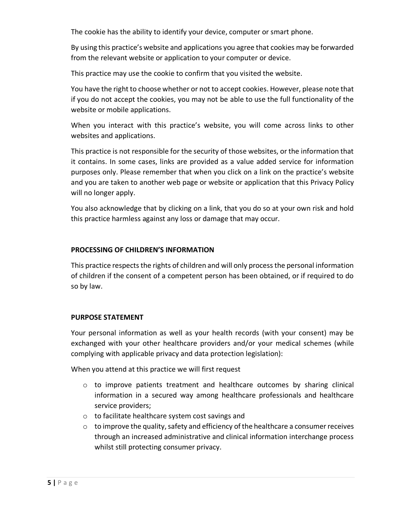The cookie has the ability to identify your device, computer or smart phone.

By using this practice's website and applications you agree that cookies may be forwarded from the relevant website or application to your computer or device.

This practice may use the cookie to confirm that you visited the website.

You have the right to choose whether or not to accept cookies. However, please note that if you do not accept the cookies, you may not be able to use the full functionality of the website or mobile applications.

When you interact with this practice's website, you will come across links to other websites and applications.

This practice is not responsible for the security of those websites, or the information that it contains. In some cases, links are provided as a value added service for information purposes only. Please remember that when you click on a link on the practice's website and you are taken to another web page or website or application that this Privacy Policy will no longer apply.

You also acknowledge that by clicking on a link, that you do so at your own risk and hold this practice harmless against any loss or damage that may occur.

## **PROCESSING OF CHILDREN'S INFORMATION**

This practice respects the rights of children and will only process the personal information of children if the consent of a competent person has been obtained, or if required to do so by law.

## **PURPOSE STATEMENT**

Your personal information as well as your health records (with your consent) may be exchanged with your other healthcare providers and/or your medical schemes (while complying with applicable privacy and data protection legislation):

When you attend at this practice we will first request

- $\circ$  to improve patients treatment and healthcare outcomes by sharing clinical information in a secured way among healthcare professionals and healthcare service providers;
- o to facilitate healthcare system cost savings and
- $\circ$  to improve the quality, safety and efficiency of the healthcare a consumer receives through an increased administrative and clinical information interchange process whilst still protecting consumer privacy.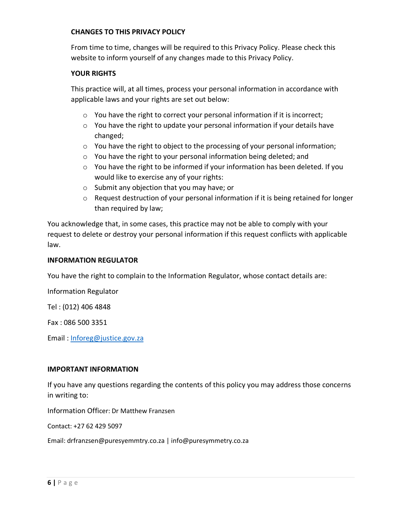### **CHANGES TO THIS PRIVACY POLICY**

From time to time, changes will be required to this Privacy Policy. Please check this website to inform yourself of any changes made to this Privacy Policy.

### **YOUR RIGHTS**

This practice will, at all times, process your personal information in accordance with applicable laws and your rights are set out below:

- o You have the right to correct your personal information if it is incorrect;
- $\circ$  You have the right to update your personal information if your details have changed;
- $\circ$  You have the right to object to the processing of your personal information;
- o You have the right to your personal information being deleted; and
- $\circ$  You have the right to be informed if your information has been deleted. If you would like to exercise any of your rights:
- o Submit any objection that you may have; or
- o Request destruction of your personal information if it is being retained for longer than required by law;

You acknowledge that, in some cases, this practice may not be able to comply with your request to delete or destroy your personal information if this request conflicts with applicable law.

### **INFORMATION REGULATOR**

You have the right to complain to the Information Regulator, whose contact details are:

Information Regulator

Tel : (012) 406 4848

Fax : 086 500 3351

Email : Inforeg@justice.gov.za

#### **IMPORTANT INFORMATION**

If you have any questions regarding the contents of this policy you may address those concerns in writing to:

Information Officer: Dr Matthew Franzsen

Contact: +27 62 429 5097

Email: drfranzsen@puresyemmtry.co.za | info@puresymmetry.co.za